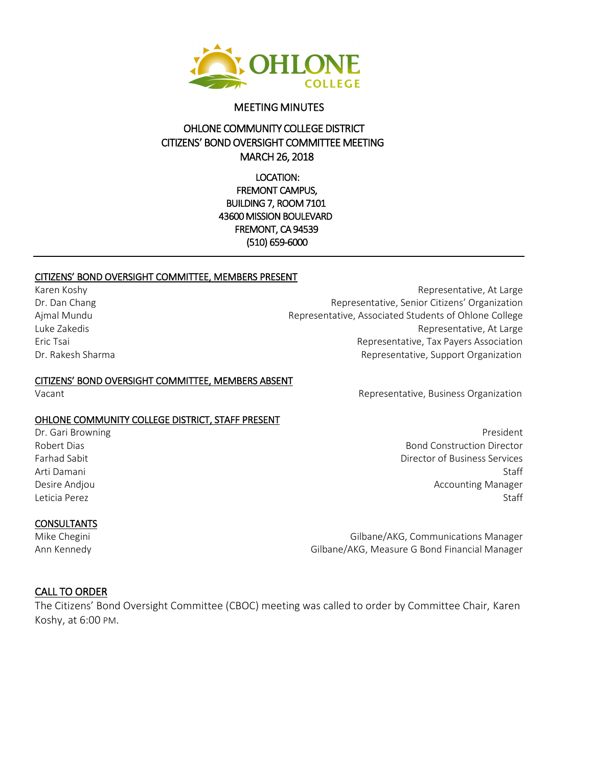

#### MEETING MINUTES

## OHLONE COMMUNITY COLLEGE DISTRICT CITIZENS' BOND OVERSIGHT COMMITTEE MEETING MARCH 26, 2018

LOCATION: FREMONT CAMPUS, BUILDING 7, ROOM 7101 43600 MISSION BOULEVARD FREMONT, CA 94539 (510) 659-6000

#### CITIZENS' BOND OVERSIGHT COMMITTEE, MEMBERS PRESENT

Karen Koshy **Representative, At Large** 

#### CITIZENS' BOND OVERSIGHT COMMITTEE, MEMBERS ABSENT

#### OHLONE COMMUNITY COLLEGE DISTRICT, STAFF PRESENT

#### **CONSULTANTS**

Dr. Dan Chang Representative, Senior Citizens' Organization Ajmal Mundu Representative, Associated Students of Ohlone College Luke Zakedis Representative, At Large Eric Tsai Representative, Tax Payers Association Dr. Rakesh Sharma **Representative, Support Organization** 

Vacant Representative, Business Organization

Dr. Gari Browning President Communication of the Communication of the President President President Robert Dias **Bond Construction Director** Farhad Sabit Director of Business Services Arti Damani Staff Staff Staff Staff Staff Staff Staff Staff Staff Staff Staff Staff Staff Staff Staff Staff St Desire Andjou **Accounting Manager** Desire Andjou Leticia Perez Staff States and States and States and States and States and States and States and States and States and States and States and States and States and States and States and States and States and States and Stat

Mike Chegini Gilbane/AKG, Communications Manager Ann Kennedy **Gilbane/AKG, Measure G Bond Financial Manager** Gilbane/AKG, Measure G Bond Financial Manager

#### CALL TO ORDER

The Citizens' Bond Oversight Committee (CBOC) meeting was called to order by Committee Chair, Karen Koshy, at 6:00 PM.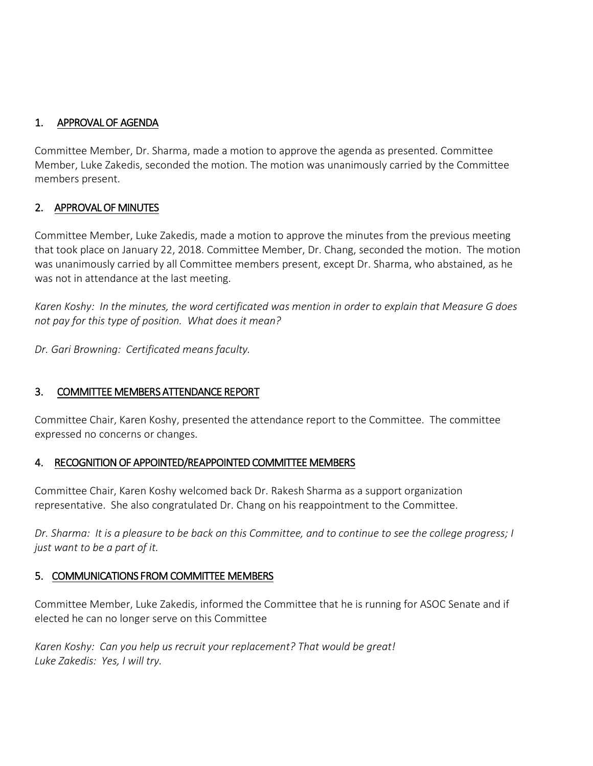## 1. APPROVAL OF AGENDA

Committee Member, Dr. Sharma, made a motion to approve the agenda as presented. Committee Member, Luke Zakedis, seconded the motion. The motion was unanimously carried by the Committee members present.

## 2. APPROVAL OF MINUTES

Committee Member, Luke Zakedis, made a motion to approve the minutes from the previous meeting that took place on January 22, 2018. Committee Member, Dr. Chang, seconded the motion. The motion was unanimously carried by all Committee members present, except Dr. Sharma, who abstained, as he was not in attendance at the last meeting.

*Karen Koshy: In the minutes, the word certificated was mention in order to explain that Measure G does not pay for this type of position. What does it mean?* 

*Dr. Gari Browning: Certificated means faculty.* 

## 3. COMMITTEE MEMBERS ATTENDANCE REPORT

Committee Chair, Karen Koshy, presented the attendance report to the Committee. The committee expressed no concerns or changes.

## 4. RECOGNITION OF APPOINTED/REAPPOINTED COMMITTEE MEMBERS

Committee Chair, Karen Koshy welcomed back Dr. Rakesh Sharma as a support organization representative. She also congratulated Dr. Chang on his reappointment to the Committee.

*Dr. Sharma: It is a pleasure to be back on this Committee, and to continue to see the college progress; I just want to be a part of it.* 

## 5. COMMUNICATIONS FROM COMMITTEE MEMBERS

Committee Member, Luke Zakedis, informed the Committee that he is running for ASOC Senate and if elected he can no longer serve on this Committee

*Karen Koshy: Can you help us recruit your replacement? That would be great! Luke Zakedis: Yes, I will try.*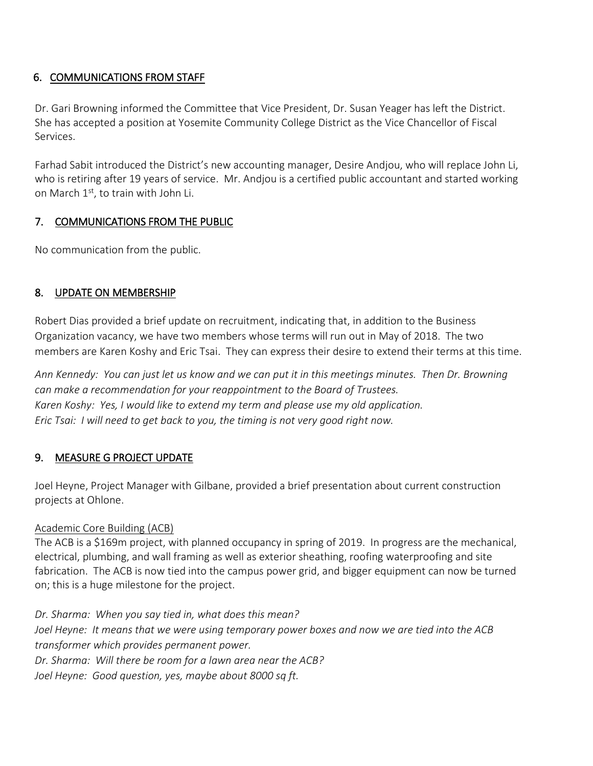# 6. COMMUNICATIONS FROM STAFF

Dr. Gari Browning informed the Committee that Vice President, Dr. Susan Yeager has left the District. She has accepted a position at Yosemite Community College District as the Vice Chancellor of Fiscal Services.

Farhad Sabit introduced the District's new accounting manager, Desire Andjou, who will replace John Li, who is retiring after 19 years of service. Mr. Andjou is a certified public accountant and started working on March 1<sup>st</sup>, to train with John Li.

# 7. COMMUNICATIONS FROM THE PUBLIC

No communication from the public.

# 8. UPDATE ON MEMBERSHIP

Robert Dias provided a brief update on recruitment, indicating that, in addition to the Business Organization vacancy, we have two members whose terms will run out in May of 2018. The two members are Karen Koshy and Eric Tsai. They can express their desire to extend their terms at this time.

*Ann Kennedy: You can just let us know and we can put it in this meetings minutes. Then Dr. Browning can make a recommendation for your reappointment to the Board of Trustees. Karen Koshy: Yes, I would like to extend my term and please use my old application. Eric Tsai: I will need to get back to you, the timing is not very good right now.*

# 9. MEASURE G PROJECT UPDATE

Joel Heyne, Project Manager with Gilbane, provided a brief presentation about current construction projects at Ohlone.

## Academic Core Building (ACB)

The ACB is a \$169m project, with planned occupancy in spring of 2019. In progress are the mechanical, electrical, plumbing, and wall framing as well as exterior sheathing, roofing waterproofing and site fabrication. The ACB is now tied into the campus power grid, and bigger equipment can now be turned on; this is a huge milestone for the project.

*Dr. Sharma: When you say tied in, what does this mean? Joel Heyne: It means that we were using temporary power boxes and now we are tied into the ACB transformer which provides permanent power. Dr. Sharma: Will there be room for a lawn area near the ACB? Joel Heyne: Good question, yes, maybe about 8000 sq ft.*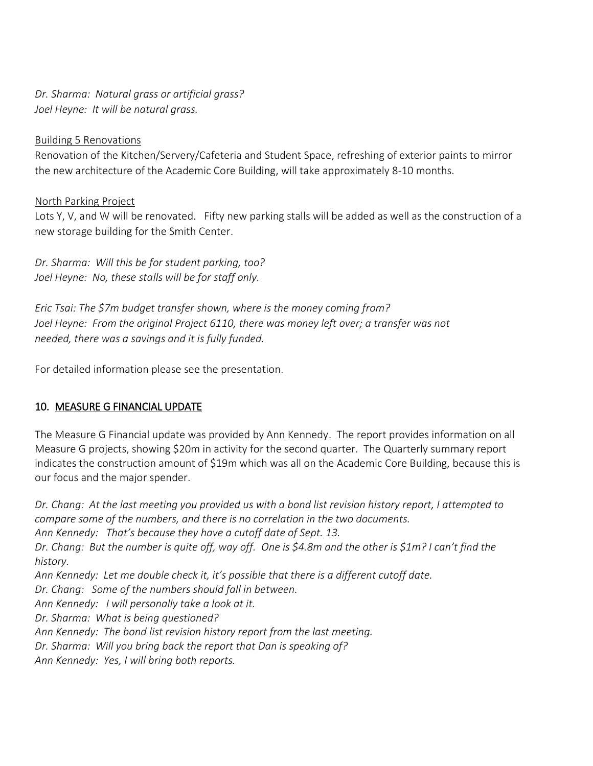*Dr. Sharma: Natural grass or artificial grass? Joel Heyne: It will be natural grass.*

#### Building 5 Renovations

Renovation of the Kitchen/Servery/Cafeteria and Student Space, refreshing of exterior paints to mirror the new architecture of the Academic Core Building, will take approximately 8-10 months.

#### North Parking Project

Lots Y, V, and W will be renovated. Fifty new parking stalls will be added as well as the construction of a new storage building for the Smith Center.

*Dr. Sharma: Will this be for student parking, too? Joel Heyne: No, these stalls will be for staff only.*

*Eric Tsai: The \$7m budget transfer shown, where is the money coming from? Joel Heyne: From the original Project 6110, there was money left over; a transfer was not needed, there was a savings and it is fully funded.*

For detailed information please see the presentation.

## 10. MEASURE G FINANCIAL UPDATE

The Measure G Financial update was provided by Ann Kennedy. The report provides information on all Measure G projects, showing \$20m in activity for the second quarter. The Quarterly summary report indicates the construction amount of \$19m which was all on the Academic Core Building, because this is our focus and the major spender.

*Dr. Chang: At the last meeting you provided us with a bond list revision history report, I attempted to compare some of the numbers, and there is no correlation in the two documents. Ann Kennedy: That's because they have a cutoff date of Sept. 13. Dr. Chang: But the number is quite off, way off. One is \$4.8m and the other is \$1m? I can't find the history. Ann Kennedy: Let me double check it, it's possible that there is a different cutoff date. Dr. Chang: Some of the numbers should fall in between. Ann Kennedy: I will personally take a look at it. Dr. Sharma: What is being questioned? Ann Kennedy: The bond list revision history report from the last meeting. Dr. Sharma: Will you bring back the report that Dan is speaking of? Ann Kennedy: Yes, I will bring both reports.*